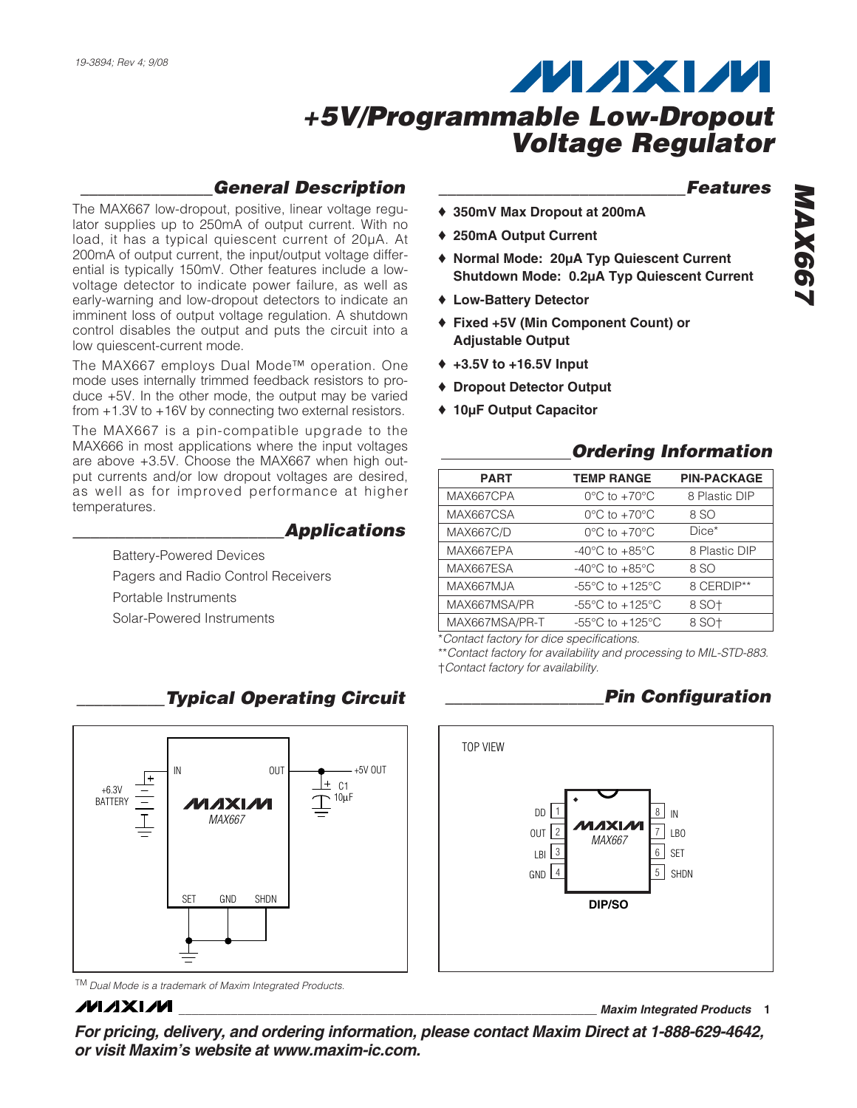### *\_\_\_\_\_\_\_\_\_\_\_\_\_\_\_General Description*

The MAX667 low-dropout, positive, linear voltage regulator supplies up to 250mA of output current. With no load, it has a typical quiescent current of 20µA. At 200mA of output current, the input/output voltage differential is typically 150mV. Other features include a lowvoltage detector to indicate power failure, as well as early-warning and low-dropout detectors to indicate an imminent loss of output voltage regulation. A shutdown control disables the output and puts the circuit into a low quiescent-current mode.

The MAX667 employs Dual Mode™ operation. One mode uses internally trimmed feedback resistors to produce +5V. In the other mode, the output may be varied from +1.3V to +16V by connecting two external resistors.

The MAX667 is a pin-compatible upgrade to the MAX666 in most applications where the input voltages are above +3.5V. Choose the MAX667 when high output currents and/or low dropout voltages are desired, as well as for improved performance at higher temperatures.

### *\_\_\_\_\_\_\_\_\_\_\_\_\_\_\_\_\_\_\_\_\_\_\_\_Applications*

Battery-Powered Devices Pagers and Radio Control Receivers Portable Instruments

Solar-Powered Instruments



TM *Dual Mode is a trademark of Maxim Integrated Products.*

## **MAXM**

*For pricing, delivery, and ordering information, please contact Maxim Direct at 1-888-629-4642, or visit Maxim's website at www.maxim-ic.com.*

### *\_\_\_\_\_\_\_\_\_\_\_\_\_\_\_\_\_\_\_\_\_\_\_\_\_\_\_\_Features*

- ♦ **350mV Max Dropout at 200mA**
- ♦ **250mA Output Current**
- ♦ **Normal Mode: 20µA Typ Quiescent Current Shutdown Mode: 0.2µA Typ Quiescent Current**
- ♦ **Low-Battery Detector**
- ♦ **Fixed +5V (Min Component Count) or Adjustable Output**
- ♦ **+3.5V to +16.5V Input**
- ♦ **Dropout Detector Output**
- ♦ **10µF Output Capacitor**

### *Ordering Information*

| <b>PART</b>      | <b>TEMP RANGE</b>                                     | <b>PIN-PACKAGE</b> |
|------------------|-------------------------------------------------------|--------------------|
| MAX667CPA        | $0^{\circ}$ C to $+70^{\circ}$ C                      | 8 Plastic DIP      |
| MAX667CSA        | $0^{\circ}$ C to $+70^{\circ}$ C                      | 8 SO               |
| <b>MAX667C/D</b> | $0^{\circ}$ C to $+70^{\circ}$ C                      | $Dice*$            |
| MAX667EPA        | $-40^{\circ}$ C to $+85^{\circ}$ C                    | 8 Plastic DIP      |
| MAX667ESA        | $-40^{\circ}$ C to $+85^{\circ}$ C                    | 8 SO               |
| MAX667MJA        | -55 $\mathrm{^{\circ}C}$ to +125 $\mathrm{^{\circ}C}$ | 8 CERDIP**         |
| MAX667MSA/PR     | $-55^{\circ}$ C to $+125^{\circ}$ C                   | 8 SO+              |
| MAX667MSA/PR-T   | $-55^{\circ}$ C to $+125^{\circ}$ C                   | 8 SO+              |
|                  |                                                       |                    |

\**Contact factory for dice specifications.*

\*\**Contact factory for availability and processing to MIL-STD-883.* †*Contact factory for availability.*

## *\_\_\_\_\_\_\_\_\_\_Typical Operating Circuit \_\_\_\_\_\_\_\_\_\_\_\_\_\_\_\_\_\_Pin Configuration*

**\_\_\_\_\_\_\_\_\_\_\_\_\_\_\_\_\_\_\_\_\_\_\_\_\_\_\_\_\_\_\_\_\_\_\_\_\_\_\_\_\_\_\_\_\_\_\_\_\_\_\_\_\_\_\_\_\_\_\_\_\_\_\_\_** *Maxim Integrated Products* **1**

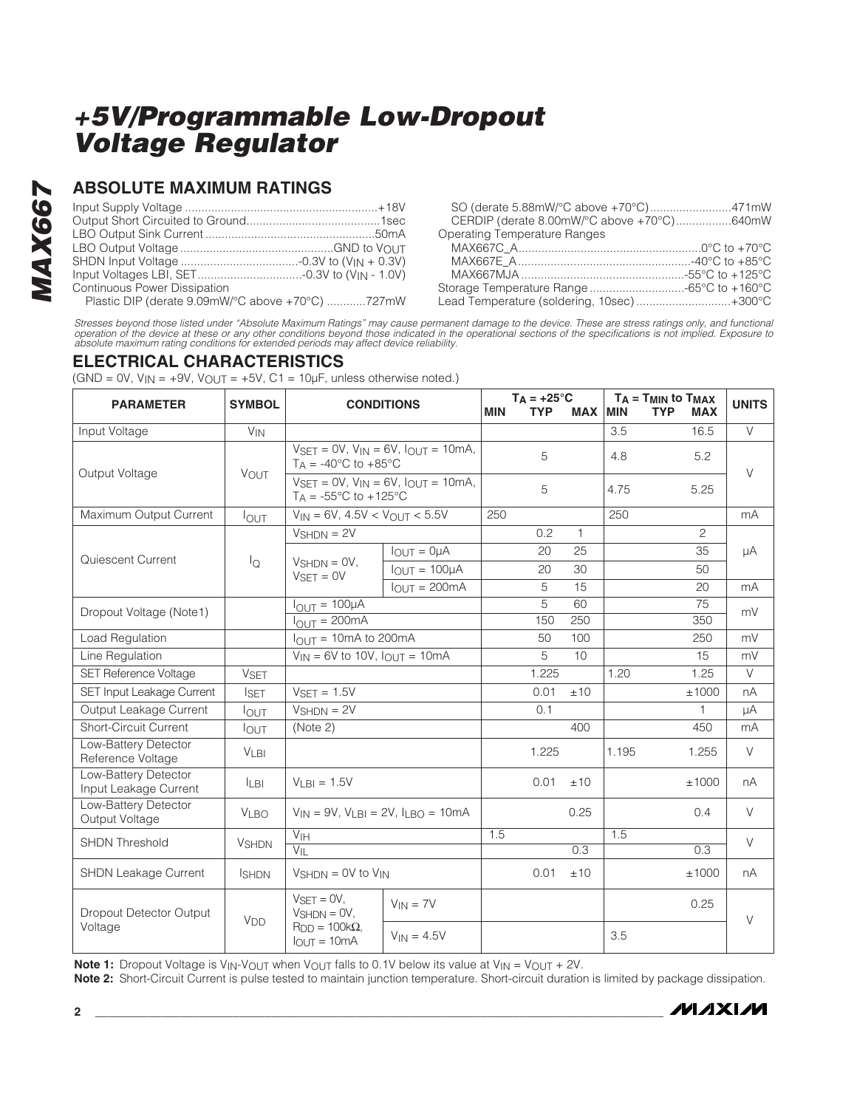### **ABSOLUTE MAXIMUM RATINGS**

| Input Voltages LBI, SET-0.3V to (V <sub>IN</sub> - 1.0V) |  |
|----------------------------------------------------------|--|
| <b>Continuous Power Dissipation</b>                      |  |
| Plastic DIP (derate 9.09mW/°C above +70°C) 727mW         |  |

| SO (derate 5.88mW/°C above +70°C)471mW     |  |
|--------------------------------------------|--|
| CERDIP (derate 8.00mW/°C above +70°C)640mW |  |
| <b>Operating Temperature Ranges</b>        |  |
|                                            |  |
|                                            |  |
|                                            |  |
|                                            |  |
| Lead Temperature (soldering, 10sec)+300°C  |  |

Stresses beyond those listed under "Absolute Maximum Ratings" may cause permanent damage to the device. These are stress ratings only, and functional<br>operation of the device at these or any other conditions beyond those in

### **ELECTRICAL CHARACTERISTICS**

 $(GND = OV, V_{IN} = +9V, V_{OUT} = +5V, C1 = 10\mu F$ , unless otherwise noted.)

| <b>PARAMETER</b>                              | <b>SYMBOL</b>         | <b>CONDITIONS</b>                                                                                                            |                      | <b>MIN</b> | $T_A = +25^{\circ}C$<br><b>TYP</b> | <b>MAX</b>   | MIN              | $T_A = T_{MIN}$ to $T_{MAX}$<br><b>TYP</b><br><b>MAX</b> | <b>UNITS</b> |
|-----------------------------------------------|-----------------------|------------------------------------------------------------------------------------------------------------------------------|----------------------|------------|------------------------------------|--------------|------------------|----------------------------------------------------------|--------------|
| Input Voltage                                 | $V_{IN}$              |                                                                                                                              |                      |            |                                    |              | 3.5              | 16.5                                                     | $\vee$       |
| Output Voltage                                | <b>VOUT</b>           | $V_{\text{SET}} = 0V$ , $V_{\text{IN}} = 6V$ , $I_{\text{OUT}} = 10 \text{mA}$ ,<br>$T_A = -40^{\circ}$ C to $+85^{\circ}$ C |                      |            | 5                                  |              | 4.8              | 5.2                                                      | $\vee$       |
|                                               |                       | $VSET = 0V$ , $VIN = 6V$ , $IOUT = 10mA$ ,<br>$T_A = -55^{\circ}C$ to $+125^{\circ}C$                                        |                      |            | 5                                  |              | 4.75             | 5.25                                                     |              |
| Maximum Output Current                        | $I_{OUT}$             | $V_{IN} = 6V$ , 4.5V < $V_{OUT} < 5.5V$                                                                                      |                      | 250        |                                    |              | 250              |                                                          | mA           |
|                                               |                       | $V_{SHDN} = 2V$                                                                                                              |                      |            | 0.2                                | $\mathbf{1}$ |                  | $\overline{c}$                                           |              |
| Quiescent Current                             |                       |                                                                                                                              | $I_{OUT} = 0\mu A$   |            | 20                                 | 25           |                  | 35                                                       | μA           |
|                                               | $I_{\mathsf{Q}}$      | $V_{\text{SHDN}} = \text{OV},$<br>$VSET = 0V$                                                                                | $I_{OUT} = 100\mu A$ |            | 20                                 | 30           |                  | 50                                                       |              |
|                                               |                       |                                                                                                                              | $I_{OUT} = 200mA$    |            | 5                                  | 15           |                  | 20                                                       | mA           |
| Dropout Voltage (Note1)                       |                       | $I_{\text{OUT}} = 100 \mu \overline{A}$                                                                                      |                      |            | 5                                  | 60           |                  | 75                                                       | mV           |
|                                               |                       | $I_{\text{OUT}} = 200 \text{mA}$                                                                                             |                      |            | 150                                | 250          |                  | 350                                                      |              |
| Load Regulation                               |                       | $I_{\text{OUT}} = 10 \text{mA}$ to 200 mA                                                                                    |                      |            | 50                                 | 100          |                  | 250                                                      | mV           |
| Line Regulation                               |                       | $V_{IN}$ = 6V to 10V, $I_{OUT}$ = 10mA                                                                                       |                      |            | 5                                  | 10           |                  | 15                                                       | mV           |
| SET Reference Voltage                         | <b>VSET</b>           |                                                                                                                              |                      |            | 1.225                              |              | 1.20             | 1.25                                                     | $\vee$       |
| SET Input Leakage Current                     | <b>I</b> SET          | $VSET = 1.5V$                                                                                                                |                      |            | 0.01                               | ±10          |                  | ±1000                                                    | nA           |
| Output Leakage Current                        | $I_{\text{OUT}}$      | $V_{SHDN} = 2V$                                                                                                              |                      |            | 0.1                                |              |                  | 1                                                        | μA           |
| Short-Circuit Current                         | <b>IOUT</b>           | (Note 2)                                                                                                                     |                      |            |                                    | 400          |                  | 450                                                      | mA           |
| Low-Battery Detector<br>Reference Voltage     | <b>VLBI</b>           |                                                                                                                              |                      |            | 1.225                              |              | 1.195            | 1.255                                                    | $\vee$       |
| Low-Battery Detector<br>Input Leakage Current | <b>ILBI</b>           | $VLBI = 1.5V$                                                                                                                |                      |            | 0.01                               | ±10          |                  | ±1000                                                    | nA           |
| Low-Battery Detector<br>Output Voltage        | <b>VLBO</b>           | $V_{IN}$ = 9V, $V_{LBI}$ = 2V, $I_{LBO}$ = 10mA                                                                              |                      |            |                                    | 0.25         |                  | 0.4                                                      | V            |
| <b>SHDN Threshold</b>                         | <b>VSHDN</b>          | $\overline{V}_{\text{IH}}$<br>$V_{\parallel}$                                                                                |                      | 1.5        |                                    | 0.3          | $\overline{1.5}$ | 0.3                                                      | $\vee$       |
| SHDN Leakage Current                          | <b>SHDN</b>           | $V_{SHDN} = 0V$ to $V_{IN}$                                                                                                  |                      |            | 0.01                               | ±10          |                  | ±1000                                                    | nA           |
| Dropout Detector Output<br>Voltage            | <b>V<sub>DD</sub></b> | $VSET = 0V,$<br>$V_{SHDN} = 0V$ ,                                                                                            | $V_{IN} = 7V$        |            |                                    |              |                  | 0.25                                                     | $\vee$       |
|                                               |                       | $R_{DD} = 100k\Omega$ ,<br>$I_{OUT} = 10mA$                                                                                  | $V_{IN} = 4.5V$      |            |                                    |              | 3.5              |                                                          |              |

**Note 1:** Dropout Voltage is V<sub>IN</sub>-V<sub>OUT</sub> when V<sub>OUT</sub> falls to 0.1V below its value at V<sub>IN</sub> = V<sub>OUT</sub> + 2V.

**Note 2:** Short-Circuit Current is pulse tested to maintain junction temperature. Short-circuit duration is limited by package dissipation.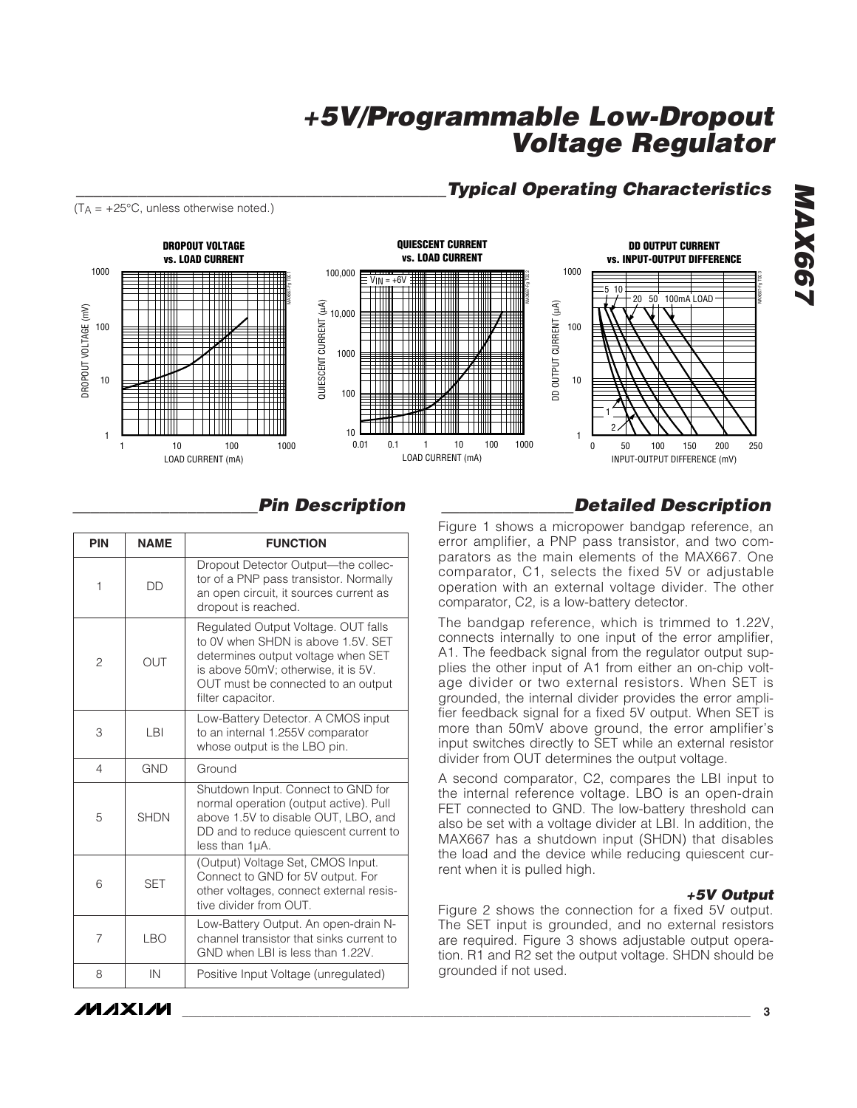### *\_\_\_\_\_\_\_\_\_\_\_\_\_\_\_\_\_\_\_\_\_\_\_\_\_\_\_\_\_\_\_\_\_\_\_\_\_\_\_\_\_\_Typical Operating Characteristics*









| <b>PIN</b> | <b>NAME</b> | <b>FUNCTION</b>                                                                                                                                                                                                   |
|------------|-------------|-------------------------------------------------------------------------------------------------------------------------------------------------------------------------------------------------------------------|
| 1          | <b>DD</b>   | Dropout Detector Output-the collec-<br>tor of a PNP pass transistor. Normally<br>an open circuit, it sources current as<br>dropout is reached.                                                                    |
| 2          | OUT         | Regulated Output Voltage. OUT falls<br>to 0V when SHDN is above 1.5V. SET<br>determines output voltage when SET<br>is above 50mV; otherwise, it is 5V.<br>OUT must be connected to an output<br>filter capacitor. |
| 3          | I BI        | Low-Battery Detector. A CMOS input<br>to an internal 1.255V comparator<br>whose output is the LBO pin.                                                                                                            |
| 4          | <b>GND</b>  | Ground                                                                                                                                                                                                            |
| 5          | <b>SHDN</b> | Shutdown Input. Connect to GND for<br>normal operation (output active). Pull<br>above 1.5V to disable OUT, LBO, and<br>DD and to reduce quiescent current to<br>less than 1µA.                                    |
| 6          | <b>SET</b>  | (Output) Voltage Set, CMOS Input.<br>Connect to GND for 5V output. For<br>other voltages, connect external resis-<br>tive divider from OUT.                                                                       |
| 7          | <b>LBO</b>  | Low-Battery Output. An open-drain N-<br>channel transistor that sinks current to<br>GND when LBI is less than 1.22V.                                                                                              |
| 8          | IN          | Positive Input Voltage (unregulated)                                                                                                                                                                              |

## *\_\_\_\_\_\_\_\_\_\_\_\_\_\_\_\_\_\_\_\_\_Pin Description \_\_\_\_\_\_\_\_\_\_\_\_\_\_\_Detailed Description*

Figure 1 shows a micropower bandgap reference, an error amplifier, a PNP pass transistor, and two comparators as the main elements of the MAX667. One comparator, C1, selects the fixed 5V or adjustable operation with an external voltage divider. The other comparator, C2, is a low-battery detector.

The bandgap reference, which is trimmed to 1.22V, connects internally to one input of the error amplifier, A1. The feedback signal from the regulator output supplies the other input of A1 from either an on-chip voltage divider or two external resistors. When SET is grounded, the internal divider provides the error amplifier feedback signal for a fixed 5V output. When SET is more than 50mV above ground, the error amplifier's input switches directly to SET while an external resistor divider from OUT determines the output voltage.

A second comparator, C2, compares the LBI input to the internal reference voltage. LBO is an open-drain FET connected to GND. The low-battery threshold can also be set with a voltage divider at LBI. In addition, the MAX667 has a shutdown input (SHDN) that disables the load and the device while reducing quiescent current when it is pulled high.

#### *+5V Output*

Figure 2 shows the connection for a fixed 5V output. The SET input is grounded, and no external resistors are required. Figure 3 shows adjustable output operation. R1 and R2 set the output voltage. SHDN should be grounded if not used.

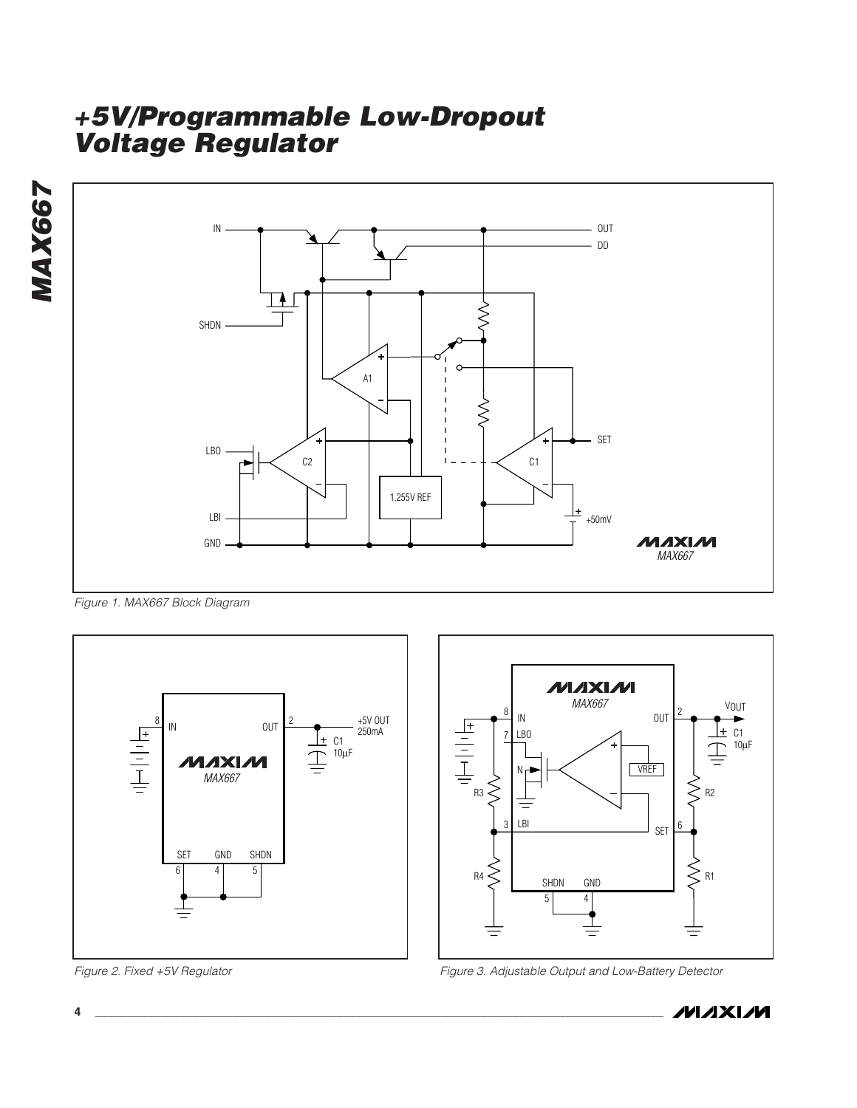**MAX667** *MAX667*



*Figure 1. MAX667 Block Diagram*



*Figure 2. Fixed +5V Regulator*





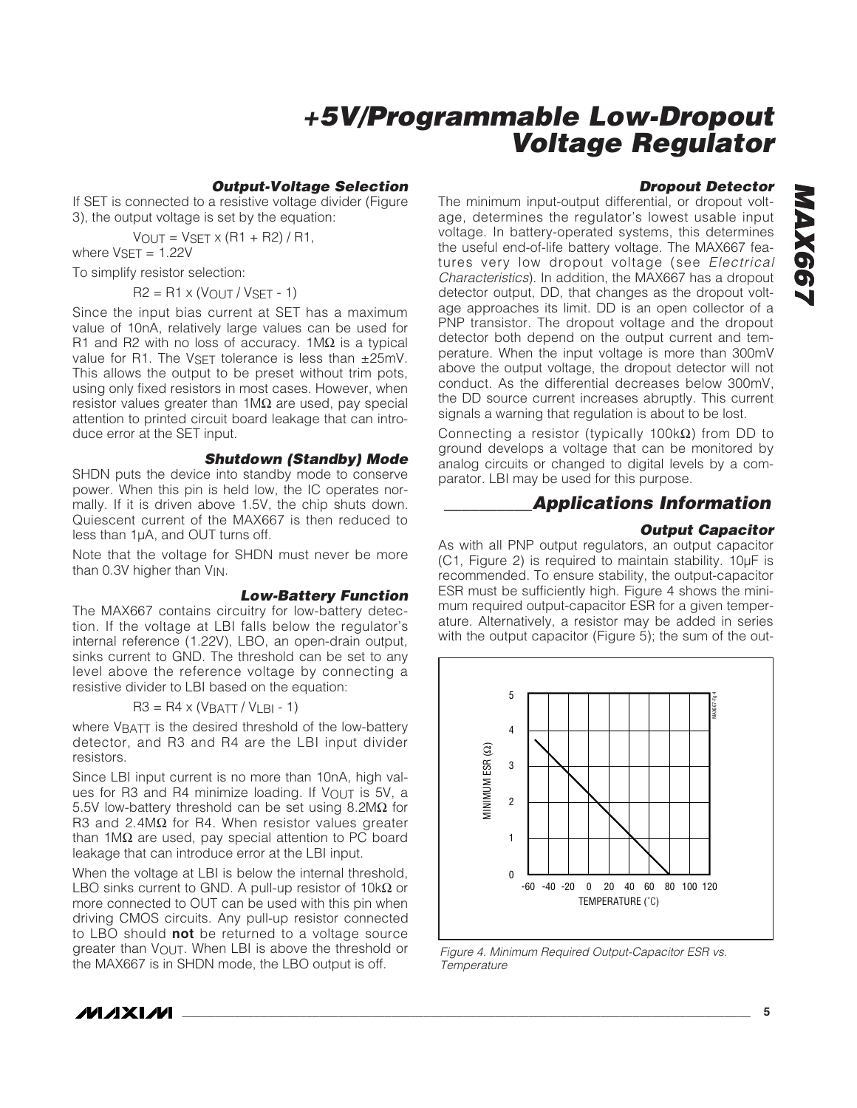#### *Output-Voltage Selection*

If SET is connected to a resistive voltage divider (Figure 3), the output voltage is set by the equation:

 $V_{OUT} = V_{SET} \times (R1 + R2) / R1$ , where  $V<sub>SET</sub> = 1.22V$ 

To simplify resistor selection:

 $R2 = R1 \times (V_{OUT} / V_{SET} - 1)$ 

Since the input bias current at SET has a maximum value of 10nA, relatively large values can be used for R1 and R2 with no loss of accuracy.  $1\text{M}\Omega$  is a typical value for R1. The VSFT tolerance is less than  $\pm 25$ mV. This allows the output to be preset without trim pots, using only fixed resistors in most cases. However, when resistor values greater than 1MΩ are used, pay special attention to printed circuit board leakage that can introduce error at the SET input.

#### *Shutdown (Standby) Mode*

SHDN puts the device into standby mode to conserve power. When this pin is held low, the IC operates normally. If it is driven above 1.5V, the chip shuts down. Quiescent current of the MAX667 is then reduced to less than 1µA, and OUT turns off.

Note that the voltage for SHDN must never be more than 0.3V higher than V<sub>IN</sub>.

#### *Low-Battery Function*

The MAX667 contains circuitry for low-battery detection. If the voltage at LBI falls below the regulator's internal reference (1.22V), LBO, an open-drain output, sinks current to GND. The threshold can be set to any level above the reference voltage by connecting a resistive divider to LBI based on the equation:

#### $R3 = R4 \times (V_{BATT} / V_{LBI} - 1)$

where VBATT is the desired threshold of the low-battery detector, and R3 and R4 are the LBI input divider resistors.

Since LBI input current is no more than 10nA, high values for R3 and R4 minimize loading. If VOUT is 5V, a 5.5V low-battery threshold can be set using 8.2MΩ for R3 and 2.4M $\Omega$  for R4. When resistor values greater than 1MΩ are used, pay special attention to PC board leakage that can introduce error at the LBI input.

When the voltage at LBI is below the internal threshold, LBO sinks current to GND. A pull-up resistor of 10k $\Omega$  or more connected to OUT can be used with this pin when driving CMOS circuits. Any pull-up resistor connected to LBO should **not** be returned to a voltage source greater than VOUT. When LBI is above the threshold or the MAX667 is in SHDN mode, the LBO output is off.

#### *Dropout Detector*

The minimum input-output differential, or dropout voltage, determines the regulator's lowest usable input voltage. In battery-operated systems, this determines the useful end-of-life battery voltage. The MAX667 features very low dropout voltage (see *Electrical Characteristics*). In addition, the MAX667 has a dropout detector output, DD, that changes as the dropout voltage approaches its limit. DD is an open collector of a PNP transistor. The dropout voltage and the dropout detector both depend on the output current and temperature. When the input voltage is more than 300mV above the output voltage, the dropout detector will not conduct. As the differential decreases below 300mV, the DD source current increases abruptly. This current signals a warning that regulation is about to be lost.

Connecting a resistor (typically 100kΩ) from DD to ground develops a voltage that can be monitored by analog circuits or changed to digital levels by a comparator. LBI may be used for this purpose.

### *\_\_\_\_\_\_\_\_\_\_Applications Information*

#### *Output Capacitor*

As with all PNP output regulators, an output capacitor (C1, Figure 2) is required to maintain stability. 10µF is recommended. To ensure stability, the output-capacitor ESR must be sufficiently high. Figure 4 shows the minimum required output-capacitor ESR for a given temperature. Alternatively, a resistor may be added in series with the output capacitor (Figure 5); the sum of the out-



*Figure 4. Minimum Required Output-Capacitor ESR vs. Temperature*

**MAXIM**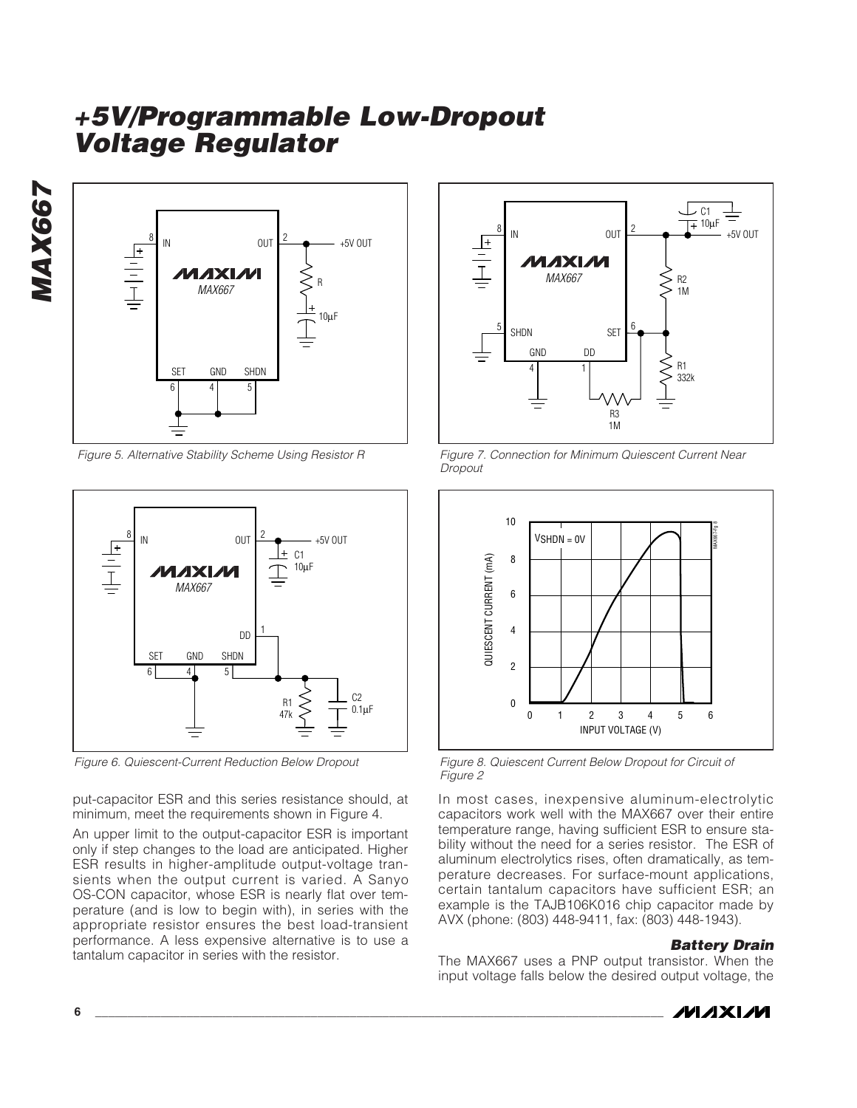*MAX667* MAX667



*Figure 5. Alternative Stability Scheme Using Resistor R*



*Figure 6. Quiescent-Current Reduction Below Dropout*

put-capacitor ESR and this series resistance should, at minimum, meet the requirements shown in Figure 4.

An upper limit to the output-capacitor ESR is important only if step changes to the load are anticipated. Higher ESR results in higher-amplitude output-voltage transients when the output current is varied. A Sanyo OS-CON capacitor, whose ESR is nearly flat over temperature (and is low to begin with), in series with the appropriate resistor ensures the best load-transient performance. A less expensive alternative is to use a tantalum capacitor in series with the resistor.



*Figure 7. Connection for Minimum Quiescent Current Near Dropout*



*Figure 8. Quiescent Current Below Dropout for Circuit of Figure 2*

In most cases, inexpensive aluminum-electrolytic capacitors work well with the MAX667 over their entire temperature range, having sufficient ESR to ensure stability without the need for a series resistor. The ESR of aluminum electrolytics rises, often dramatically, as temperature decreases. For surface-mount applications, certain tantalum capacitors have sufficient ESR; an example is the TAJB106K016 chip capacitor made by AVX (phone: (803) 448-9411, fax: (803) 448-1943).

#### *Battery Drain*

The MAX667 uses a PNP output transistor. When the input voltage falls below the desired output voltage, the

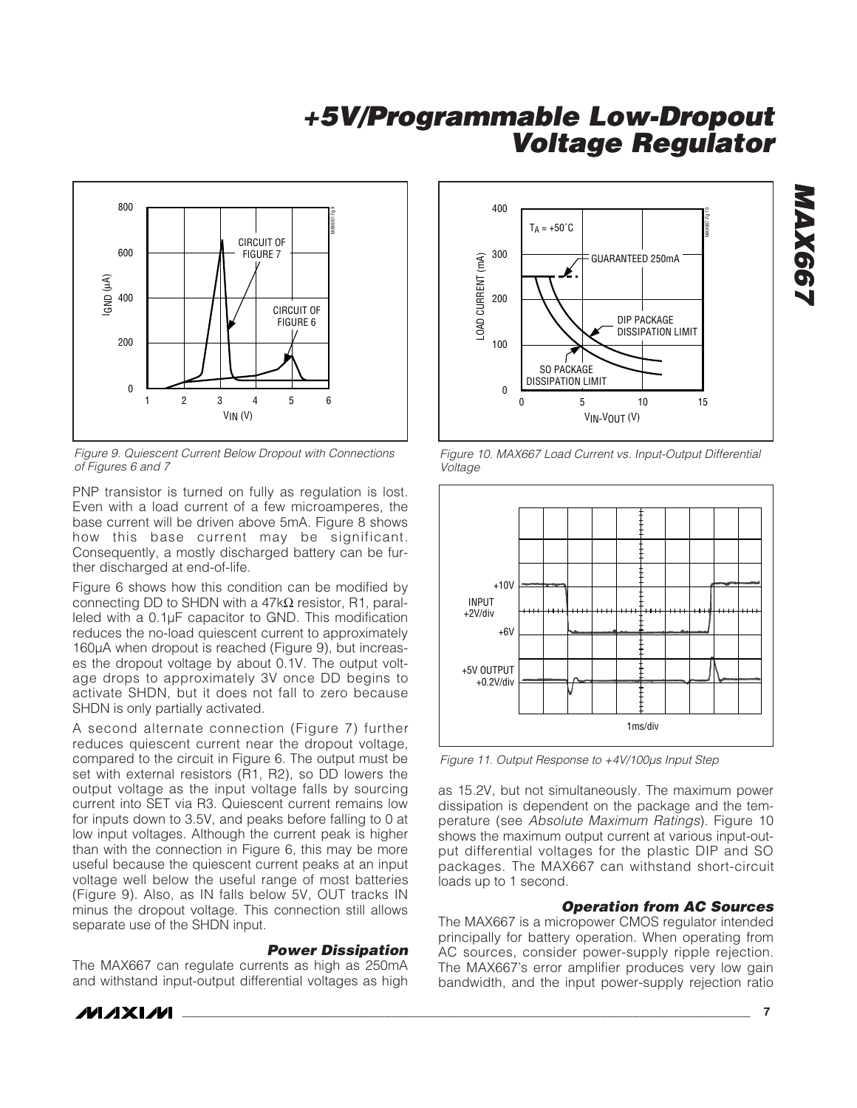

*Figure 9. Quiescent Current Below Dropout with Connections of Figures 6 and 7*

PNP transistor is turned on fully as regulation is lost. Even with a load current of a few microamperes, the base current will be driven above 5mA. Figure 8 shows how this base current may be significant. Consequently, a mostly discharged battery can be further discharged at end-of-life.

Figure 6 shows how this condition can be modified by connecting DD to SHDN with a 47kΩ resistor, R1, paralleled with a 0.1µF capacitor to GND. This modification reduces the no-load quiescent current to approximately 160µA when dropout is reached (Figure 9), but increases the dropout voltage by about 0.1V. The output voltage drops to approximately 3V once DD begins to activate SHDN, but it does not fall to zero because SHDN is only partially activated.

A second alternate connection (Figure 7) further reduces quiescent current near the dropout voltage, compared to the circuit in Figure 6. The output must be set with external resistors (R1, R2), so DD lowers the output voltage as the input voltage falls by sourcing current into SET via R3. Quiescent current remains low for inputs down to 3.5V, and peaks before falling to 0 at low input voltages. Although the current peak is higher than with the connection in Figure 6, this may be more useful because the quiescent current peaks at an input voltage well below the useful range of most batteries (Figure 9). Also, as IN falls below 5V, OUT tracks IN minus the dropout voltage. This connection still allows separate use of the SHDN input.

#### *Power Dissipation*

The MAX667 can regulate currents as high as 250mA and withstand input-output differential voltages as high



*Figure 10. MAX667 Load Current vs. Input-Output Differential Voltage*



*Figure 11. Output Response to +4V/100µs Input Step*

as 15.2V, but not simultaneously. The maximum power dissipation is dependent on the package and the temperature (see *Absolute Maximum Ratings*). Figure 10 shows the maximum output current at various input-output differential voltages for the plastic DIP and SO packages. The MAX667 can withstand short-circuit loads up to 1 second.

#### *Operation from AC Sources*

The MAX667 is a micropower CMOS regulator intended principally for battery operation. When operating from AC sources, consider power-supply ripple rejection. The MAX667's error amplifier produces very low gain bandwidth, and the input power-supply rejection ratio



*MAX667*

**MAX667**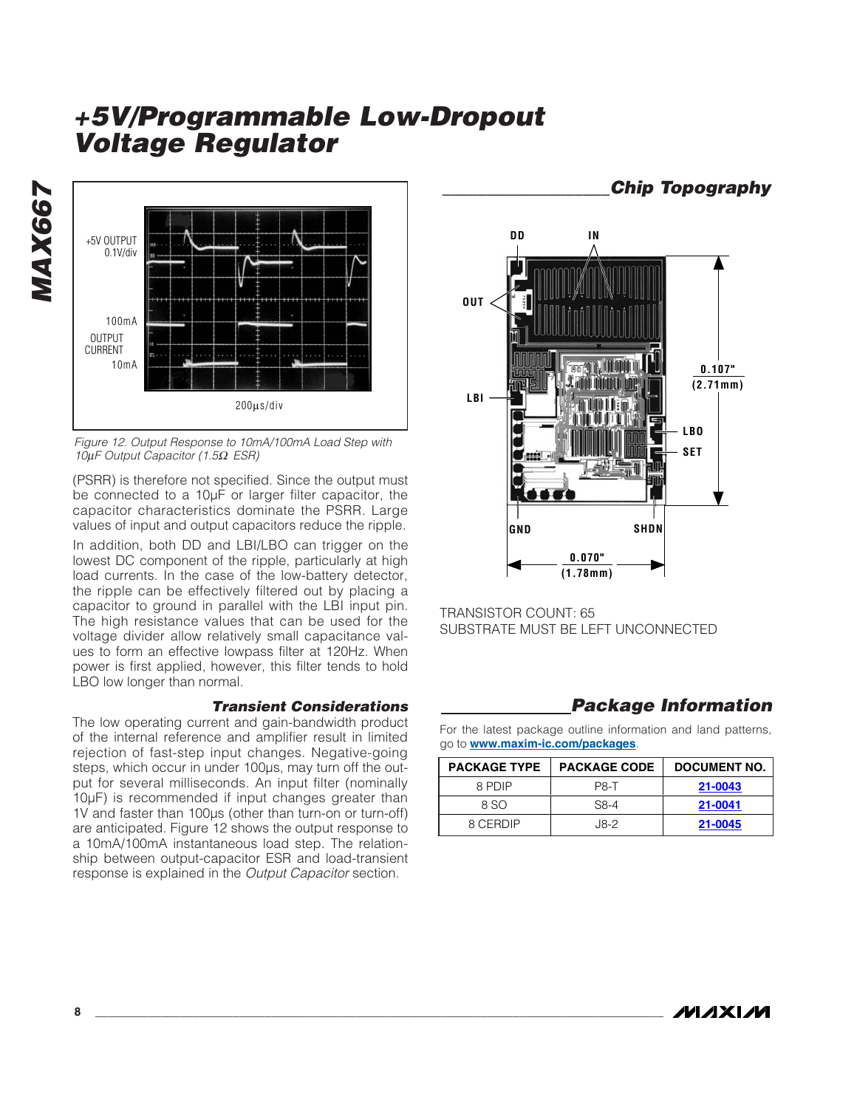

*Figure 12. Output Response to 10mA/100mA Load Step with 10*μ*F Output Capacitor (1.5*Ω *ESR)*

(PSRR) is therefore not specified. Since the output must be connected to a 10µF or larger filter capacitor, the capacitor characteristics dominate the PSRR. Large values of input and output capacitors reduce the ripple.

In addition, both DD and LBI/LBO can trigger on the lowest DC component of the ripple, particularly at high load currents. In the case of the low-battery detector, the ripple can be effectively filtered out by placing a capacitor to ground in parallel with the LBI input pin. The high resistance values that can be used for the voltage divider allow relatively small capacitance values to form an effective lowpass filter at 120Hz. When power is first applied, however, this filter tends to hold LBO low longer than normal.

#### *Transient Considerations*

The low operating current and gain-bandwidth product of the internal reference and amplifier result in limited rejection of fast-step input changes. Negative-going steps, which occur in under 100µs, may turn off the output for several milliseconds. An input filter (nominally 10µF) is recommended if input changes greater than 1V and faster than 100µs (other than turn-on or turn-off) are anticipated. Figure 12 shows the output response to a 10mA/100mA instantaneous load step. The relationship between output-capacitor ESR and load-transient response is explained in the *Output Capacitor* section.



TRANSISTOR COUNT: 65 SUBSTRATE MUST BE LEFT UNCONNECTED

### *Package Information*

For the latest package outline information and land patterns, go to **www.maxim-ic.com/packages**.

| <b>PACKAGE TYPE</b> | <b>PACKAGE CODE</b> | <b>DOCUMENT NO.</b> |
|---------------------|---------------------|---------------------|
| 8 PDIP              | <b>P8-T</b>         | 21-0043             |
| 8 SO                | $S8-4$              | 21-0041             |
| 8 CERDIP            | .I8-2               | 21-0045             |

*\_\_\_\_\_\_\_\_\_\_\_\_\_\_\_\_\_\_\_Chip Topography*

*MAX667*

MAX667